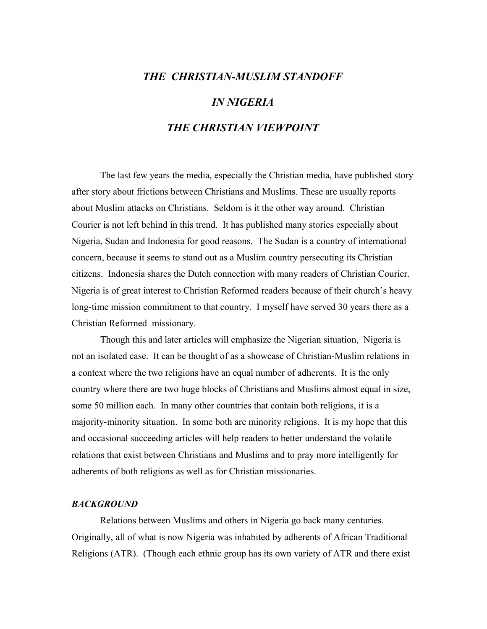## *THE CHRISTIAN-MUSLIM STANDOFF IN NIGERIA THE CHRISTIAN VIEWPOINT*

The last few years the media, especially the Christian media, have published story after story about frictions between Christians and Muslims. These are usually reports about Muslim attacks on Christians. Seldom is it the other way around. Christian Courier is not left behind in this trend. It has published many stories especially about Nigeria, Sudan and Indonesia for good reasons. The Sudan is a country of international concern, because it seems to stand out as a Muslim country persecuting its Christian citizens. Indonesia shares the Dutch connection with many readers of Christian Courier. Nigeria is of great interest to Christian Reformed readers because of their church's heavy long-time mission commitment to that country. I myself have served 30 years there as a Christian Reformed missionary.

Though this and later articles will emphasize the Nigerian situation, Nigeria is not an isolated case. It can be thought of as a showcase of Christian-Muslim relations in a context where the two religions have an equal number of adherents. It is the only country where there are two huge blocks of Christians and Muslims almost equal in size, some 50 million each. In many other countries that contain both religions, it is a majority-minority situation. In some both are minority religions. It is my hope that this and occasional succeeding articles will help readers to better understand the volatile relations that exist between Christians and Muslims and to pray more intelligently for adherents of both religions as well as for Christian missionaries.

## *BACKGROUND*

Relations between Muslims and others in Nigeria go back many centuries. Originally, all of what is now Nigeria was inhabited by adherents of African Traditional Religions (ATR). (Though each ethnic group has its own variety of ATR and there exist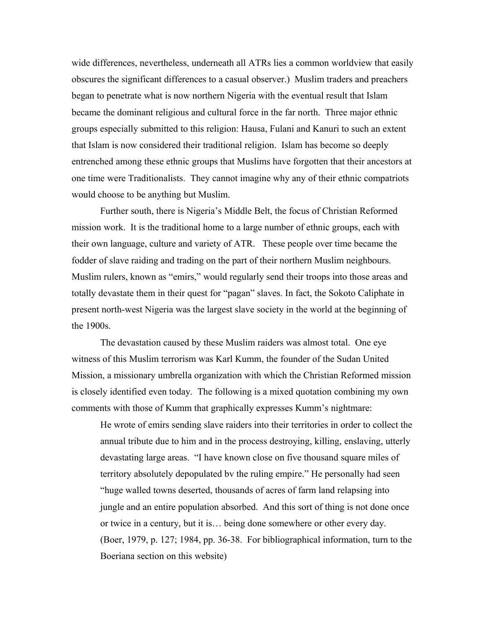wide differences, nevertheless, underneath all ATRs lies a common worldview that easily obscures the significant differences to a casual observer.) Muslim traders and preachers began to penetrate what is now northern Nigeria with the eventual result that Islam became the dominant religious and cultural force in the far north. Three major ethnic groups especially submitted to this religion: Hausa, Fulani and Kanuri to such an extent that Islam is now considered their traditional religion. Islam has become so deeply entrenched among these ethnic groups that Muslims have forgotten that their ancestors at one time were Traditionalists. They cannot imagine why any of their ethnic compatriots would choose to be anything but Muslim.

Further south, there is Nigeria's Middle Belt, the focus of Christian Reformed mission work. It is the traditional home to a large number of ethnic groups, each with their own language, culture and variety of ATR. These people over time became the fodder of slave raiding and trading on the part of their northern Muslim neighbours. Muslim rulers, known as "emirs," would regularly send their troops into those areas and totally devastate them in their quest for "pagan" slaves. In fact, the Sokoto Caliphate in present north-west Nigeria was the largest slave society in the world at the beginning of the 1900s.

The devastation caused by these Muslim raiders was almost total. One eye witness of this Muslim terrorism was Karl Kumm, the founder of the Sudan United Mission, a missionary umbrella organization with which the Christian Reformed mission is closely identified even today. The following is a mixed quotation combining my own comments with those of Kumm that graphically expresses Kumm's nightmare:

He wrote of emirs sending slave raiders into their territories in order to collect the annual tribute due to him and in the process destroying, killing, enslaving, utterly devastating large areas. "I have known close on five thousand square miles of territory absolutely depopulated bv the ruling empire." He personally had seen "huge walled towns deserted, thousands of acres of farm land relapsing into jungle and an entire population absorbed. And this sort of thing is not done once or twice in a century, but it is… being done somewhere or other every day. (Boer, 1979, p. 127; 1984, pp. 36-38. For bibliographical information, turn to the Boeriana section on this website)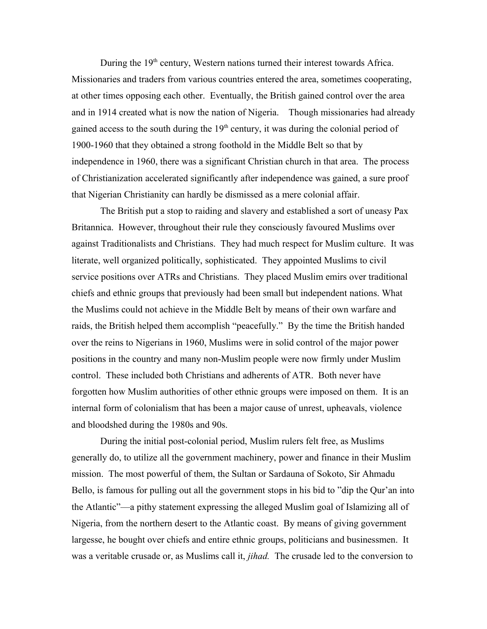During the 19<sup>th</sup> century, Western nations turned their interest towards Africa. Missionaries and traders from various countries entered the area, sometimes cooperating, at other times opposing each other. Eventually, the British gained control over the area and in 1914 created what is now the nation of Nigeria. Though missionaries had already gained access to the south during the  $19<sup>th</sup>$  century, it was during the colonial period of 1900-1960 that they obtained a strong foothold in the Middle Belt so that by independence in 1960, there was a significant Christian church in that area. The process of Christianization accelerated significantly after independence was gained, a sure proof that Nigerian Christianity can hardly be dismissed as a mere colonial affair.

The British put a stop to raiding and slavery and established a sort of uneasy Pax Britannica. However, throughout their rule they consciously favoured Muslims over against Traditionalists and Christians. They had much respect for Muslim culture. It was literate, well organized politically, sophisticated. They appointed Muslims to civil service positions over ATRs and Christians. They placed Muslim emirs over traditional chiefs and ethnic groups that previously had been small but independent nations. What the Muslims could not achieve in the Middle Belt by means of their own warfare and raids, the British helped them accomplish "peacefully." By the time the British handed over the reins to Nigerians in 1960, Muslims were in solid control of the major power positions in the country and many non-Muslim people were now firmly under Muslim control. These included both Christians and adherents of ATR. Both never have forgotten how Muslim authorities of other ethnic groups were imposed on them. It is an internal form of colonialism that has been a major cause of unrest, upheavals, violence and bloodshed during the 1980s and 90s.

During the initial post-colonial period, Muslim rulers felt free, as Muslims generally do, to utilize all the government machinery, power and finance in their Muslim mission. The most powerful of them, the Sultan or Sardauna of Sokoto, Sir Ahmadu Bello, is famous for pulling out all the government stops in his bid to "dip the Qur'an into the Atlantic"—a pithy statement expressing the alleged Muslim goal of Islamizing all of Nigeria, from the northern desert to the Atlantic coast. By means of giving government largesse, he bought over chiefs and entire ethnic groups, politicians and businessmen. It was a veritable crusade or, as Muslims call it, *jihad.* The crusade led to the conversion to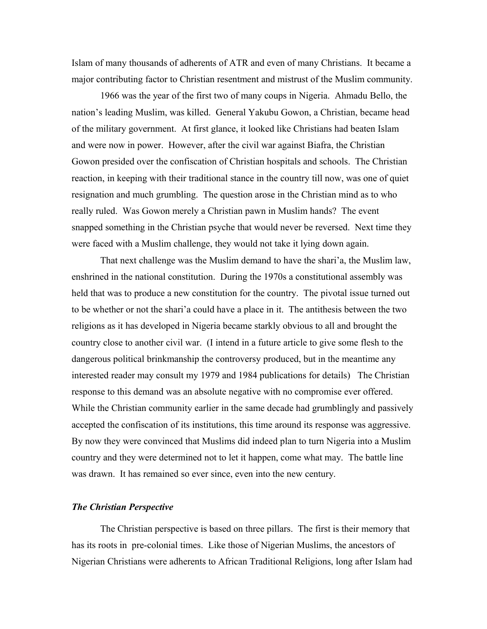Islam of many thousands of adherents of ATR and even of many Christians. It became a major contributing factor to Christian resentment and mistrust of the Muslim community.

1966 was the year of the first two of many coups in Nigeria. Ahmadu Bello, the nation's leading Muslim, was killed. General Yakubu Gowon, a Christian, became head of the military government. At first glance, it looked like Christians had beaten Islam and were now in power. However, after the civil war against Biafra, the Christian Gowon presided over the confiscation of Christian hospitals and schools. The Christian reaction, in keeping with their traditional stance in the country till now, was one of quiet resignation and much grumbling. The question arose in the Christian mind as to who really ruled. Was Gowon merely a Christian pawn in Muslim hands? The event snapped something in the Christian psyche that would never be reversed. Next time they were faced with a Muslim challenge, they would not take it lying down again.

That next challenge was the Muslim demand to have the shari'a, the Muslim law, enshrined in the national constitution. During the 1970s a constitutional assembly was held that was to produce a new constitution for the country. The pivotal issue turned out to be whether or not the shari'a could have a place in it. The antithesis between the two religions as it has developed in Nigeria became starkly obvious to all and brought the country close to another civil war. (I intend in a future article to give some flesh to the dangerous political brinkmanship the controversy produced, but in the meantime any interested reader may consult my 1979 and 1984 publications for details) The Christian response to this demand was an absolute negative with no compromise ever offered. While the Christian community earlier in the same decade had grumblingly and passively accepted the confiscation of its institutions, this time around its response was aggressive. By now they were convinced that Muslims did indeed plan to turn Nigeria into a Muslim country and they were determined not to let it happen, come what may. The battle line was drawn. It has remained so ever since, even into the new century.

## *The Christian Perspective*

The Christian perspective is based on three pillars. The first is their memory that has its roots in pre-colonial times. Like those of Nigerian Muslims, the ancestors of Nigerian Christians were adherents to African Traditional Religions, long after Islam had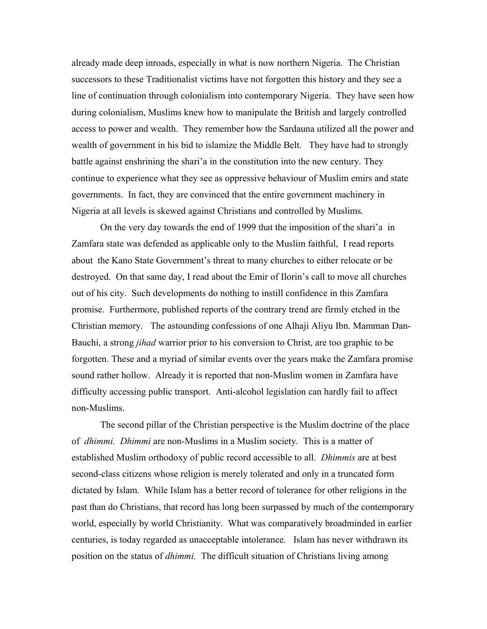already made deep inroads, especially in what is now northern Nigeria. The Christian successors to these Traditionalist victims have not forgotten this history and they see a line of continuation through colonialism into contemporary Nigeria. They have seen how during colonialism, Muslims knew how to manipulate the British and largely controlled access to power and wealth. They remember how the Sardauna utilized all the power and wealth of government in his bid to islamize the Middle Belt. They have had to strongly battle against enshrining the shari'a in the constitution into the new century. They continue to experience what they see as oppressive behaviour of Muslim emirs and state governments. In fact, they are convinced that the entire government machinery in Nigeria at all levels is skewed against Christians and controlled by Muslims.

On the very day towards the end of 1999 that the imposition of the shari'a in Zamfara state was defended as applicable only to the Muslim faithful, I read reports about the Kano State Government's threat to many churches to either relocate or be destroyed. On that same day, I read about the Emir of Ilorin's call to move all churches out of his city. Such developments do nothing to instill confidence in this Zamfara promise. Furthermore, published reports of the contrary trend are firmly etched in the Christian memory. The astounding confessions of one Alhaji Aliyu Ibn. Mamman Dan-Bauchi, a strong *jihad* warrior prior to his conversion to Christ, are too graphic to be forgotten. These and a myriad of similar events over the years make the Zamfara promise sound rather hollow. Already it is reported that non-Muslim women in Zamfara have difficulty accessing public transport. Anti-alcohol legislation can hardly fail to affect non-Muslims.

The second pillar of the Christian perspective is the Muslim doctrine of the place of *dhimmi. Dhimmi* are non-Muslims in a Muslim society. This is a matter of established Muslim orthodoxy of public record accessible to all. *Dhimmis* are at best second-class citizens whose religion is merely tolerated and only in a truncated form dictated by Islam. While Islam has a better record of tolerance for other religions in the past than do Christians, that record has long been surpassed by much of the contemporary world, especially by world Christianity. What was comparatively broadminded in earlier centuries, is today regarded as unacceptable intolerance. Islam has never withdrawn its position on the status of *dhimmi.* The difficult situation of Christians living among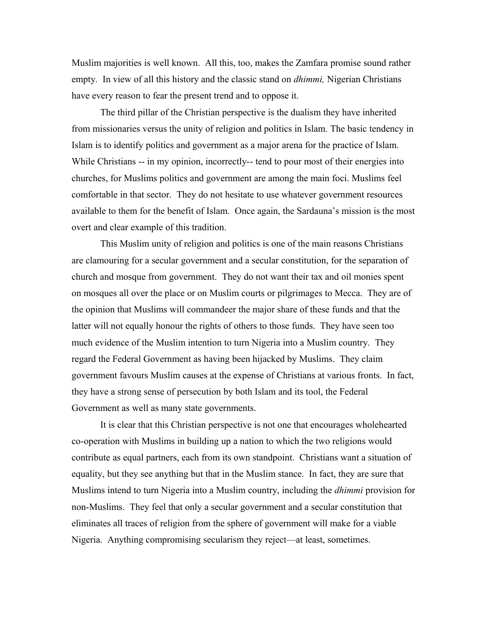Muslim majorities is well known. All this, too, makes the Zamfara promise sound rather empty. In view of all this history and the classic stand on *dhimmi,* Nigerian Christians have every reason to fear the present trend and to oppose it.

The third pillar of the Christian perspective is the dualism they have inherited from missionaries versus the unity of religion and politics in Islam. The basic tendency in Islam is to identify politics and government as a major arena for the practice of Islam. While Christians -- in my opinion, incorrectly-- tend to pour most of their energies into churches, for Muslims politics and government are among the main foci. Muslims feel comfortable in that sector. They do not hesitate to use whatever government resources available to them for the benefit of Islam. Once again, the Sardauna's mission is the most overt and clear example of this tradition.

This Muslim unity of religion and politics is one of the main reasons Christians are clamouring for a secular government and a secular constitution, for the separation of church and mosque from government. They do not want their tax and oil monies spent on mosques all over the place or on Muslim courts or pilgrimages to Mecca. They are of the opinion that Muslims will commandeer the major share of these funds and that the latter will not equally honour the rights of others to those funds. They have seen too much evidence of the Muslim intention to turn Nigeria into a Muslim country. They regard the Federal Government as having been hijacked by Muslims. They claim government favours Muslim causes at the expense of Christians at various fronts. In fact, they have a strong sense of persecution by both Islam and its tool, the Federal Government as well as many state governments.

It is clear that this Christian perspective is not one that encourages wholehearted co-operation with Muslims in building up a nation to which the two religions would contribute as equal partners, each from its own standpoint. Christians want a situation of equality, but they see anything but that in the Muslim stance. In fact, they are sure that Muslims intend to turn Nigeria into a Muslim country, including the *dhimmi* provision for non-Muslims. They feel that only a secular government and a secular constitution that eliminates all traces of religion from the sphere of government will make for a viable Nigeria. Anything compromising secularism they reject—at least, sometimes.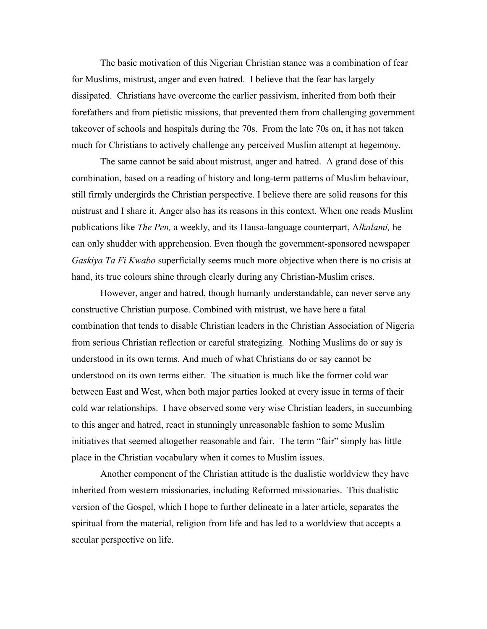The basic motivation of this Nigerian Christian stance was a combination of fear for Muslims, mistrust, anger and even hatred. I believe that the fear has largely dissipated. Christians have overcome the earlier passivism, inherited from both their forefathers and from pietistic missions, that prevented them from challenging government takeover of schools and hospitals during the 70s. From the late 70s on, it has not taken much for Christians to actively challenge any perceived Muslim attempt at hegemony.

The same cannot be said about mistrust, anger and hatred. A grand dose of this combination, based on a reading of history and long-term patterns of Muslim behaviour, still firmly undergirds the Christian perspective. I believe there are solid reasons for this mistrust and I share it. Anger also has its reasons in this context. When one reads Muslim publications like *The Pen,* a weekly, and its Hausa-language counterpart, A*lkalami,* he can only shudder with apprehension. Even though the government-sponsored newspaper *Gaskiya Ta Fi Kwabo* superficially seems much more objective when there is no crisis at hand, its true colours shine through clearly during any Christian-Muslim crises.

However, anger and hatred, though humanly understandable, can never serve any constructive Christian purpose. Combined with mistrust, we have here a fatal combination that tends to disable Christian leaders in the Christian Association of Nigeria from serious Christian reflection or careful strategizing. Nothing Muslims do or say is understood in its own terms. And much of what Christians do or say cannot be understood on its own terms either. The situation is much like the former cold war between East and West, when both major parties looked at every issue in terms of their cold war relationships. I have observed some very wise Christian leaders, in succumbing to this anger and hatred, react in stunningly unreasonable fashion to some Muslim initiatives that seemed altogether reasonable and fair. The term "fair" simply has little place in the Christian vocabulary when it comes to Muslim issues.

Another component of the Christian attitude is the dualistic worldview they have inherited from western missionaries, including Reformed missionaries. This dualistic version of the Gospel, which I hope to further delineate in a later article, separates the spiritual from the material, religion from life and has led to a worldview that accepts a secular perspective on life.